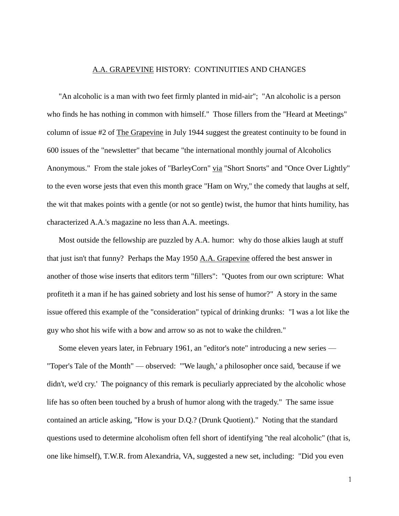## A.A. GRAPEVINE HISTORY: CONTINUITIES AND CHANGES

"An alcoholic is a man with two feet firmly planted in mid-air"; "An alcoholic is a person who finds he has nothing in common with himself." Those fillers from the "Heard at Meetings" column of issue #2 of The Grapevine in July 1944 suggest the greatest continuity to be found in 600 issues of the "newsletter" that became "the international monthly journal of Alcoholics Anonymous." From the stale jokes of "BarleyCorn" via "Short Snorts" and "Once Over Lightly" to the even worse jests that even this month grace "Ham on Wry," the comedy that laughs at self, the wit that makes points with a gentle (or not so gentle) twist, the humor that hints humility, has characterized A.A.'s magazine no less than A.A. meetings.

Most outside the fellowship are puzzled by A.A. humor: why do those alkies laugh at stuff that just isn't that funny? Perhaps the May 1950 A.A. Grapevine offered the best answer in another of those wise inserts that editors term "fillers": "Quotes from our own scripture: What profiteth it a man if he has gained sobriety and lost his sense of humor?" A story in the same issue offered this example of the "consideration" typical of drinking drunks: "I was a lot like the guy who shot his wife with a bow and arrow so as not to wake the children."

Some eleven years later, in February 1961, an "editor's note" introducing a new series — "Toper's Tale of the Month" — observed: "'We laugh,' a philosopher once said, 'because if we didn't, we'd cry.' The poignancy of this remark is peculiarly appreciated by the alcoholic whose life has so often been touched by a brush of humor along with the tragedy." The same issue contained an article asking, "How is your D.Q.? (Drunk Quotient)." Noting that the standard questions used to determine alcoholism often fell short of identifying "the real alcoholic" (that is, one like himself), T.W.R. from Alexandria, VA, suggested a new set, including: "Did you even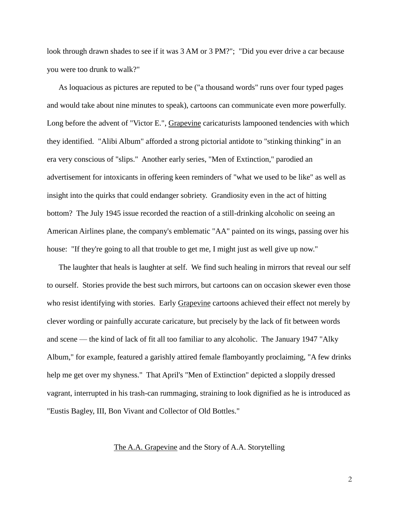look through drawn shades to see if it was  $3 AM$  or  $3 PM$ ?"; "Did you ever drive a car because you were too drunk to walk?"

As loquacious as pictures are reputed to be ("a thousand words" runs over four typed pages and would take about nine minutes to speak), cartoons can communicate even more powerfully. Long before the advent of "Victor E.", Grapevine caricaturists lampooned tendencies with which they identified. "Alibi Album" afforded a strong pictorial antidote to "stinking thinking" in an era very conscious of "slips." Another early series, "Men of Extinction," parodied an advertisement for intoxicants in offering keen reminders of "what we used to be like" as well as insight into the quirks that could endanger sobriety. Grandiosity even in the act of hitting bottom? The July 1945 issue recorded the reaction of a still-drinking alcoholic on seeing an American Airlines plane, the company's emblematic "AA" painted on its wings, passing over his house: "If they're going to all that trouble to get me, I might just as well give up now."

The laughter that heals is laughter at self. We find such healing in mirrors that reveal our self to ourself. Stories provide the best such mirrors, but cartoons can on occasion skewer even those who resist identifying with stories. Early Grapevine cartoons achieved their effect not merely by clever wording or painfully accurate caricature, but precisely by the lack of fit between words and scene — the kind of lack of fit all too familiar to any alcoholic. The January 1947 "Alky Album," for example, featured a garishly attired female flamboyantly proclaiming, "A few drinks help me get over my shyness." That April's "Men of Extinction" depicted a sloppily dressed vagrant, interrupted in his trash-can rummaging, straining to look dignified as he is introduced as "Eustis Bagley, III, Bon Vivant and Collector of Old Bottles."

## The A.A. Grapevine and the Story of A.A. Storytelling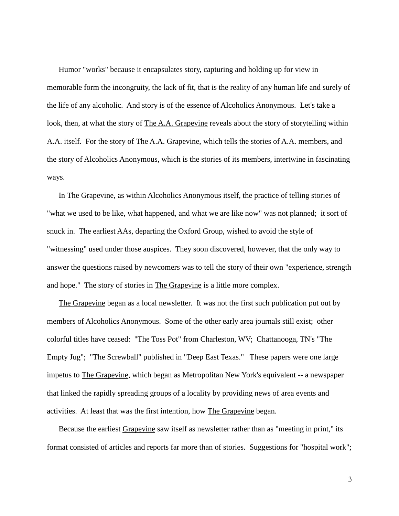Humor "works" because it encapsulates story, capturing and holding up for view in memorable form the incongruity, the lack of fit, that is the reality of any human life and surely of the life of any alcoholic. And story is of the essence of Alcoholics Anonymous. Let's take a look, then, at what the story of The A.A. Grapevine reveals about the story of storytelling within A.A. itself. For the story of The A.A. Grapevine, which tells the stories of A.A. members, and the story of Alcoholics Anonymous, which is the stories of its members, intertwine in fascinating ways.

In The Grapevine, as within Alcoholics Anonymous itself, the practice of telling stories of "what we used to be like, what happened, and what we are like now" was not planned; it sort of snuck in. The earliest AAs, departing the Oxford Group, wished to avoid the style of "witnessing" used under those auspices. They soon discovered, however, that the only way to answer the questions raised by newcomers was to tell the story of their own "experience, strength and hope." The story of stories in The Grapevine is a little more complex.

The Grapevine began as a local newsletter. It was not the first such publication put out by members of Alcoholics Anonymous. Some of the other early area journals still exist; other colorful titles have ceased: "The Toss Pot" from Charleston, WV; Chattanooga, TN's "The Empty Jug"; "The Screwball" published in "Deep East Texas." These papers were one large impetus to The Grapevine, which began as Metropolitan New York's equivalent -- a newspaper that linked the rapidly spreading groups of a locality by providing news of area events and activities. At least that was the first intention, how The Grapevine began.

Because the earliest Grapevine saw itself as newsletter rather than as "meeting in print," its format consisted of articles and reports far more than of stories. Suggestions for "hospital work";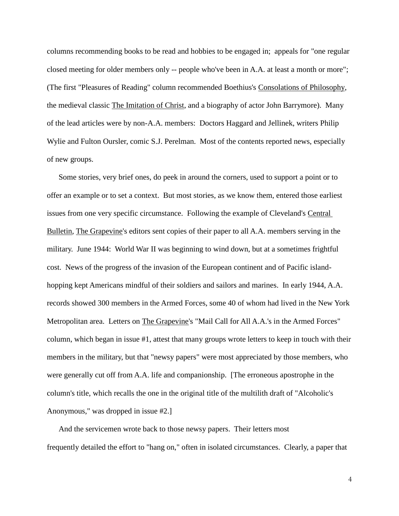columns recommending books to be read and hobbies to be engaged in; appeals for "one regular closed meeting for older members only -- people who've been in A.A. at least a month or more"; (The first "Pleasures of Reading" column recommended Boethius's Consolations of Philosophy, the medieval classic The Imitation of Christ, and a biography of actor John Barrymore). Many of the lead articles were by non-A.A. members: Doctors Haggard and Jellinek, writers Philip Wylie and Fulton Oursler, comic S.J. Perelman. Most of the contents reported news, especially of new groups.

Some stories, very brief ones, do peek in around the corners, used to support a point or to offer an example or to set a context. But most stories, as we know them, entered those earliest issues from one very specific circumstance. Following the example of Cleveland's Central Bulletin, The Grapevine's editors sent copies of their paper to all A.A. members serving in the military. June 1944: World War II was beginning to wind down, but at a sometimes frightful cost. News of the progress of the invasion of the European continent and of Pacific islandhopping kept Americans mindful of their soldiers and sailors and marines. In early 1944, A.A. records showed 300 members in the Armed Forces, some 40 of whom had lived in the New York Metropolitan area. Letters on The Grapevine's "Mail Call for All A.A.'s in the Armed Forces" column, which began in issue #1, attest that many groups wrote letters to keep in touch with their members in the military, but that "newsy papers" were most appreciated by those members, who were generally cut off from A.A. life and companionship. [The erroneous apostrophe in the column's title, which recalls the one in the original title of the multilith draft of "Alcoholic's Anonymous," was dropped in issue #2.]

And the servicemen wrote back to those newsy papers. Their letters most frequently detailed the effort to "hang on," often in isolated circumstances. Clearly, a paper that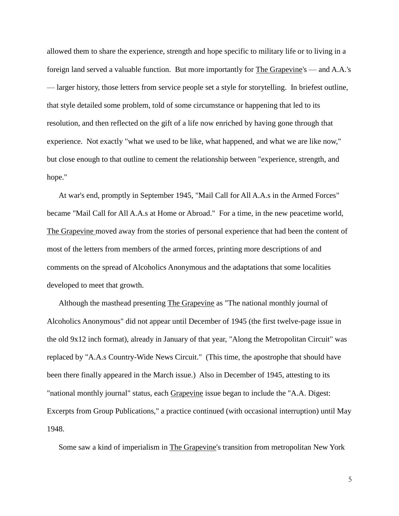allowed them to share the experience, strength and hope specific to military life or to living in a foreign land served a valuable function. But more importantly for The Grapevine's — and A.A.'s — larger history, those letters from service people set a style for storytelling. In briefest outline, that style detailed some problem, told of some circumstance or happening that led to its resolution, and then reflected on the gift of a life now enriched by having gone through that experience. Not exactly "what we used to be like, what happened, and what we are like now," but close enough to that outline to cement the relationship between "experience, strength, and hope."

At war's end, promptly in September 1945, "Mail Call for All A.A.s in the Armed Forces" became "Mail Call for All A.A.s at Home or Abroad." For a time, in the new peacetime world, The Grapevine moved away from the stories of personal experience that had been the content of most of the letters from members of the armed forces, printing more descriptions of and comments on the spread of Alcoholics Anonymous and the adaptations that some localities developed to meet that growth.

Although the masthead presenting The Grapevine as "The national monthly journal of Alcoholics Anonymous" did not appear until December of 1945 (the first twelve-page issue in the old 9x12 inch format), already in January of that year, "Along the Metropolitan Circuit" was replaced by "A.A.s Country-Wide News Circuit." (This time, the apostrophe that should have been there finally appeared in the March issue.) Also in December of 1945, attesting to its "national monthly journal" status, each Grapevine issue began to include the "A.A. Digest: Excerpts from Group Publications," a practice continued (with occasional interruption) until May 1948.

Some saw a kind of imperialism in The Grapevine's transition from metropolitan New York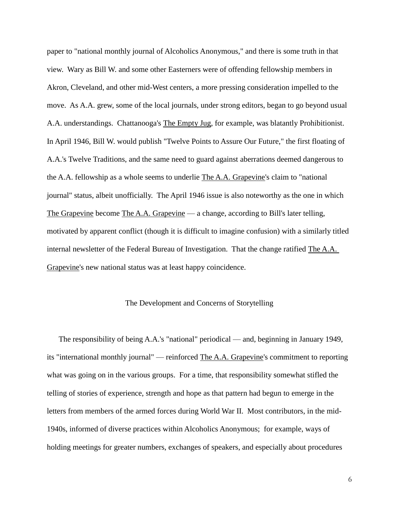paper to "national monthly journal of Alcoholics Anonymous," and there is some truth in that view. Wary as Bill W. and some other Easterners were of offending fellowship members in Akron, Cleveland, and other mid-West centers, a more pressing consideration impelled to the move. As A.A. grew, some of the local journals, under strong editors, began to go beyond usual A.A. understandings. Chattanooga's The Empty Jug, for example, was blatantly Prohibitionist. In April 1946, Bill W. would publish "Twelve Points to Assure Our Future," the first floating of A.A.'s Twelve Traditions, and the same need to guard against aberrations deemed dangerous to the A.A. fellowship as a whole seems to underlie The A.A. Grapevine's claim to "national journal" status, albeit unofficially. The April 1946 issue is also noteworthy as the one in which The Grapevine become The A.A. Grapevine — a change, according to Bill's later telling, motivated by apparent conflict (though it is difficult to imagine confusion) with a similarly titled internal newsletter of the Federal Bureau of Investigation. That the change ratified The A.A. Grapevine's new national status was at least happy coincidence.

## The Development and Concerns of Storytelling

The responsibility of being A.A.'s "national" periodical — and, beginning in January 1949, its "international monthly journal" — reinforced The A.A. Grapevine's commitment to reporting what was going on in the various groups. For a time, that responsibility somewhat stifled the telling of stories of experience, strength and hope as that pattern had begun to emerge in the letters from members of the armed forces during World War II. Most contributors, in the mid-1940s, informed of diverse practices within Alcoholics Anonymous; for example, ways of holding meetings for greater numbers, exchanges of speakers, and especially about procedures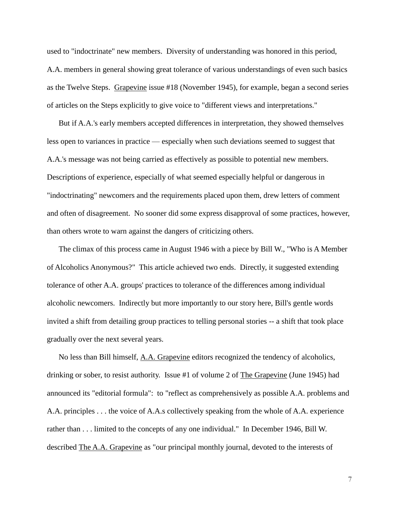used to "indoctrinate" new members. Diversity of understanding was honored in this period, A.A. members in general showing great tolerance of various understandings of even such basics as the Twelve Steps. Grapevine issue #18 (November 1945), for example, began a second series of articles on the Steps explicitly to give voice to "different views and interpretations."

But if A.A.'s early members accepted differences in interpretation, they showed themselves less open to variances in practice — especially when such deviations seemed to suggest that A.A.'s message was not being carried as effectively as possible to potential new members. Descriptions of experience, especially of what seemed especially helpful or dangerous in "indoctrinating" newcomers and the requirements placed upon them, drew letters of comment and often of disagreement. No sooner did some express disapproval of some practices, however, than others wrote to warn against the dangers of criticizing others.

The climax of this process came in August 1946 with a piece by Bill W., "Who is A Member of Alcoholics Anonymous?" This article achieved two ends. Directly, it suggested extending tolerance of other A.A. groups' practices to tolerance of the differences among individual alcoholic newcomers. Indirectly but more importantly to our story here, Bill's gentle words invited a shift from detailing group practices to telling personal stories -- a shift that took place gradually over the next several years.

No less than Bill himself, A.A. Grapevine editors recognized the tendency of alcoholics, drinking or sober, to resist authority. Issue #1 of volume 2 of The Grapevine (June 1945) had announced its "editorial formula": to "reflect as comprehensively as possible A.A. problems and A.A. principles . . . the voice of A.A.s collectively speaking from the whole of A.A. experience rather than . . . limited to the concepts of any one individual." In December 1946, Bill W. described The A.A. Grapevine as "our principal monthly journal, devoted to the interests of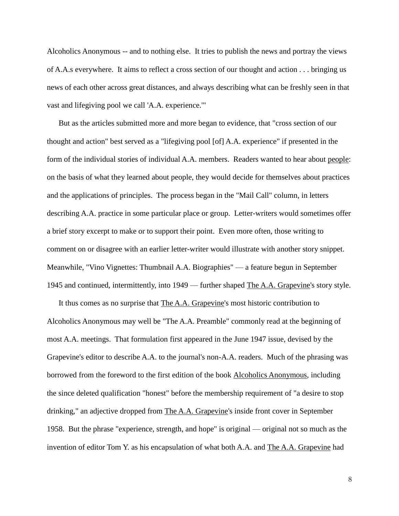Alcoholics Anonymous -- and to nothing else. It tries to publish the news and portray the views of A.A.s everywhere. It aims to reflect a cross section of our thought and action . . . bringing us news of each other across great distances, and always describing what can be freshly seen in that vast and lifegiving pool we call 'A.A. experience.'"

But as the articles submitted more and more began to evidence, that "cross section of our thought and action" best served as a "lifegiving pool [of] A.A. experience" if presented in the form of the individual stories of individual A.A. members. Readers wanted to hear about people: on the basis of what they learned about people, they would decide for themselves about practices and the applications of principles. The process began in the "Mail Call" column, in letters describing A.A. practice in some particular place or group. Letter-writers would sometimes offer a brief story excerpt to make or to support their point. Even more often, those writing to comment on or disagree with an earlier letter-writer would illustrate with another story snippet. Meanwhile, "Vino Vignettes: Thumbnail A.A. Biographies" — a feature begun in September 1945 and continued, intermittently, into 1949 — further shaped The A.A. Grapevine's story style.

It thus comes as no surprise that The A.A. Grapevine's most historic contribution to Alcoholics Anonymous may well be "The A.A. Preamble" commonly read at the beginning of most A.A. meetings. That formulation first appeared in the June 1947 issue, devised by the Grapevine's editor to describe A.A. to the journal's non-A.A. readers. Much of the phrasing was borrowed from the foreword to the first edition of the book Alcoholics Anonymous, including the since deleted qualification "honest" before the membership requirement of "a desire to stop drinking," an adjective dropped from The A.A. Grapevine's inside front cover in September 1958. But the phrase "experience, strength, and hope" is original — original not so much as the invention of editor Tom Y. as his encapsulation of what both A.A. and The A.A. Grapevine had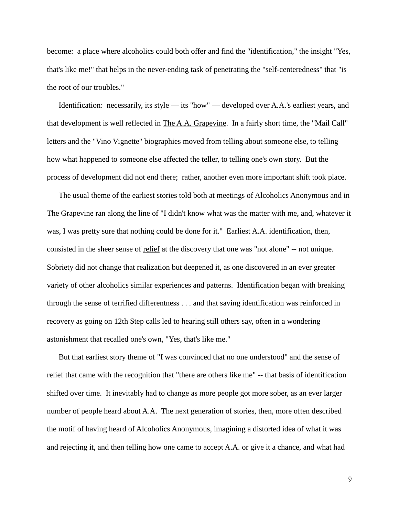become: a place where alcoholics could both offer and find the "identification," the insight "Yes, that's like me!" that helps in the never-ending task of penetrating the "self-centeredness" that "is the root of our troubles."

Identification: necessarily, its style — its "how" — developed over A.A.'s earliest years, and that development is well reflected in The A.A. Grapevine. In a fairly short time, the "Mail Call" letters and the "Vino Vignette" biographies moved from telling about someone else, to telling how what happened to someone else affected the teller, to telling one's own story. But the process of development did not end there; rather, another even more important shift took place.

The usual theme of the earliest stories told both at meetings of Alcoholics Anonymous and in The Grapevine ran along the line of "I didn't know what was the matter with me, and, whatever it was, I was pretty sure that nothing could be done for it." Earliest A.A. identification, then, consisted in the sheer sense of relief at the discovery that one was "not alone" -- not unique. Sobriety did not change that realization but deepened it, as one discovered in an ever greater variety of other alcoholics similar experiences and patterns. Identification began with breaking through the sense of terrified differentness . . . and that saving identification was reinforced in recovery as going on 12th Step calls led to hearing still others say, often in a wondering astonishment that recalled one's own, "Yes, that's like me."

But that earliest story theme of "I was convinced that no one understood" and the sense of relief that came with the recognition that "there are others like me" -- that basis of identification shifted over time. It inevitably had to change as more people got more sober, as an ever larger number of people heard about A.A. The next generation of stories, then, more often described the motif of having heard of Alcoholics Anonymous, imagining a distorted idea of what it was and rejecting it, and then telling how one came to accept A.A. or give it a chance, and what had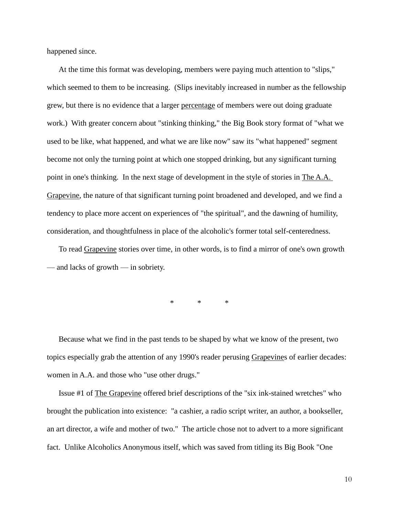happened since.

At the time this format was developing, members were paying much attention to "slips," which seemed to them to be increasing. (Slips inevitably increased in number as the fellowship grew, but there is no evidence that a larger percentage of members were out doing graduate work.) With greater concern about "stinking thinking," the Big Book story format of "what we used to be like, what happened, and what we are like now" saw its "what happened" segment become not only the turning point at which one stopped drinking, but any significant turning point in one's thinking. In the next stage of development in the style of stories in The A.A. Grapevine, the nature of that significant turning point broadened and developed, and we find a tendency to place more accent on experiences of "the spiritual", and the dawning of humility, consideration, and thoughtfulness in place of the alcoholic's former total self-centeredness.

To read Grapevine stories over time, in other words, is to find a mirror of one's own growth — and lacks of growth — in sobriety.

\* \* \*

Because what we find in the past tends to be shaped by what we know of the present, two topics especially grab the attention of any 1990's reader perusing Grapevines of earlier decades: women in A.A. and those who "use other drugs."

Issue #1 of The Grapevine offered brief descriptions of the "six ink-stained wretches" who brought the publication into existence: "a cashier, a radio script writer, an author, a bookseller, an art director, a wife and mother of two." The article chose not to advert to a more significant fact. Unlike Alcoholics Anonymous itself, which was saved from titling its Big Book "One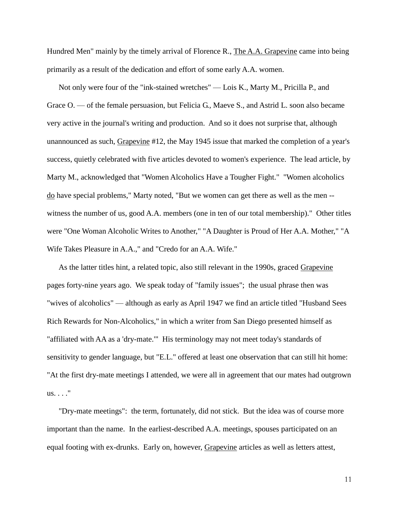Hundred Men" mainly by the timely arrival of Florence R., The A.A. Grapevine came into being primarily as a result of the dedication and effort of some early A.A. women.

Not only were four of the "ink-stained wretches" — Lois K., Marty M., Pricilla P., and Grace O. — of the female persuasion, but Felicia G., Maeve S., and Astrid L. soon also became very active in the journal's writing and production. And so it does not surprise that, although unannounced as such, Grapevine #12, the May 1945 issue that marked the completion of a year's success, quietly celebrated with five articles devoted to women's experience. The lead article, by Marty M., acknowledged that "Women Alcoholics Have a Tougher Fight." "Women alcoholics do have special problems," Marty noted, "But we women can get there as well as the men - witness the number of us, good A.A. members (one in ten of our total membership)." Other titles were "One Woman Alcoholic Writes to Another," "A Daughter is Proud of Her A.A. Mother," "A Wife Takes Pleasure in A.A.," and "Credo for an A.A. Wife."

As the latter titles hint, a related topic, also still relevant in the 1990s, graced Grapevine pages forty-nine years ago. We speak today of "family issues"; the usual phrase then was "wives of alcoholics" — although as early as April 1947 we find an article titled "Husband Sees Rich Rewards for Non-Alcoholics," in which a writer from San Diego presented himself as "affiliated with AA as a 'dry-mate.'" His terminology may not meet today's standards of sensitivity to gender language, but "E.L." offered at least one observation that can still hit home: "At the first dry-mate meetings I attended, we were all in agreement that our mates had outgrown us. . . ."

"Dry-mate meetings": the term, fortunately, did not stick. But the idea was of course more important than the name. In the earliest-described A.A. meetings, spouses participated on an equal footing with ex-drunks. Early on, however, Grapevine articles as well as letters attest,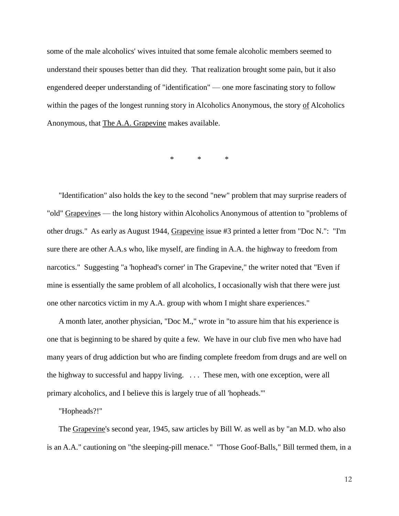some of the male alcoholics' wives intuited that some female alcoholic members seemed to understand their spouses better than did they. That realization brought some pain, but it also engendered deeper understanding of "identification" — one more fascinating story to follow within the pages of the longest running story in Alcoholics Anonymous, the story of Alcoholics Anonymous, that The A.A. Grapevine makes available.

\* \* \*

"Identification" also holds the key to the second "new" problem that may surprise readers of "old" Grapevines — the long history within Alcoholics Anonymous of attention to "problems of other drugs." As early as August 1944, Grapevine issue #3 printed a letter from "Doc N.": "I'm sure there are other A.A.s who, like myself, are finding in A.A. the highway to freedom from narcotics." Suggesting "a 'hophead's corner' in The Grapevine," the writer noted that "Even if mine is essentially the same problem of all alcoholics, I occasionally wish that there were just one other narcotics victim in my A.A. group with whom I might share experiences."

A month later, another physician, "Doc M.," wrote in "to assure him that his experience is one that is beginning to be shared by quite a few. We have in our club five men who have had many years of drug addiction but who are finding complete freedom from drugs and are well on the highway to successful and happy living. . . . These men, with one exception, were all primary alcoholics, and I believe this is largely true of all 'hopheads.'"

"Hopheads?!"

The Grapevine's second year, 1945, saw articles by Bill W. as well as by "an M.D. who also is an A.A." cautioning on "the sleeping-pill menace." "Those Goof-Balls," Bill termed them, in a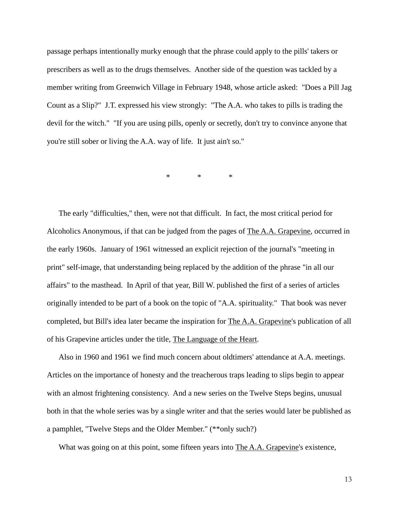passage perhaps intentionally murky enough that the phrase could apply to the pills' takers or prescribers as well as to the drugs themselves. Another side of the question was tackled by a member writing from Greenwich Village in February 1948, whose article asked: "Does a Pill Jag Count as a Slip?" J.T. expressed his view strongly: "The A.A. who takes to pills is trading the devil for the witch." "If you are using pills, openly or secretly, don't try to convince anyone that you're still sober or living the A.A. way of life. It just ain't so."

\* \* \*

The early "difficulties," then, were not that difficult. In fact, the most critical period for Alcoholics Anonymous, if that can be judged from the pages of The A.A. Grapevine, occurred in the early 1960s. January of 1961 witnessed an explicit rejection of the journal's "meeting in print" self-image, that understanding being replaced by the addition of the phrase "in all our affairs" to the masthead. In April of that year, Bill W. published the first of a series of articles originally intended to be part of a book on the topic of "A.A. spirituality." That book was never completed, but Bill's idea later became the inspiration for The A.A. Grapevine's publication of all of his Grapevine articles under the title, The Language of the Heart.

Also in 1960 and 1961 we find much concern about oldtimers' attendance at A.A. meetings. Articles on the importance of honesty and the treacherous traps leading to slips begin to appear with an almost frightening consistency. And a new series on the Twelve Steps begins, unusual both in that the whole series was by a single writer and that the series would later be published as a pamphlet, "Twelve Steps and the Older Member." (\*\*only such?)

What was going on at this point, some fifteen years into The A.A. Grapevine's existence,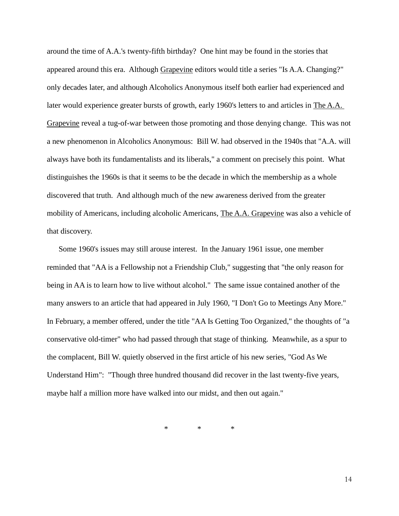around the time of A.A.'s twenty-fifth birthday? One hint may be found in the stories that appeared around this era. Although Grapevine editors would title a series "Is A.A. Changing?" only decades later, and although Alcoholics Anonymous itself both earlier had experienced and later would experience greater bursts of growth, early 1960's letters to and articles in The A.A. Grapevine reveal a tug-of-war between those promoting and those denying change. This was not a new phenomenon in Alcoholics Anonymous: Bill W. had observed in the 1940s that "A.A. will always have both its fundamentalists and its liberals," a comment on precisely this point. What distinguishes the 1960s is that it seems to be the decade in which the membership as a whole discovered that truth. And although much of the new awareness derived from the greater mobility of Americans, including alcoholic Americans, The A.A. Grapevine was also a vehicle of that discovery.

Some 1960's issues may still arouse interest. In the January 1961 issue, one member reminded that "AA is a Fellowship not a Friendship Club," suggesting that "the only reason for being in AA is to learn how to live without alcohol." The same issue contained another of the many answers to an article that had appeared in July 1960, "I Don't Go to Meetings Any More." In February, a member offered, under the title "AA Is Getting Too Organized," the thoughts of "a conservative old-timer" who had passed through that stage of thinking. Meanwhile, as a spur to the complacent, Bill W. quietly observed in the first article of his new series, "God As We Understand Him": "Though three hundred thousand did recover in the last twenty-five years, maybe half a million more have walked into our midst, and then out again."

\* \* \*